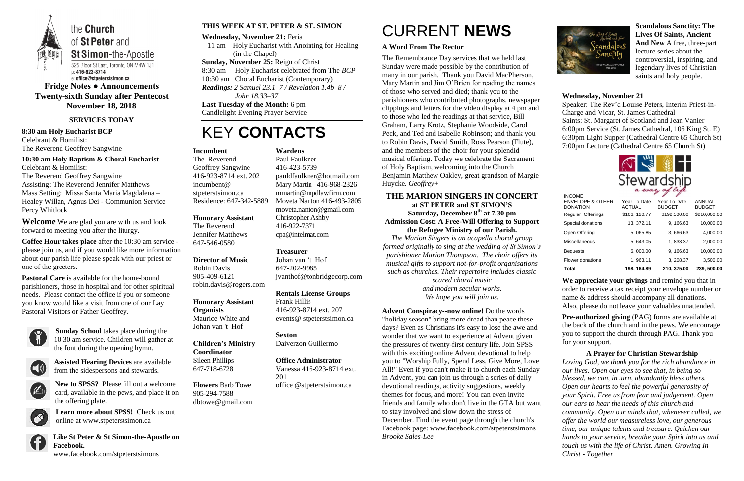

**Fridge Notes ● Announcements Twenty-sixth Sunday after Pentecost November 18, 2018**

### **SERVICES TODAY**

**8:30 am Holy Eucharist BCP** Celebrant & Homilist: The Reverend Geoffrey Sangwine

### **10:30 am Holy Baptism & Choral Eucharist** Celebrant & Homilist:

The Reverend Geoffrey Sangwine Assisting: The Reverend Jennifer Matthews Mass Setting: Missa Santa Maria Magdalena – Healey Willan, Agnus Dei - Communion Service Percy Whitlock

**Welcome** We are glad you are with us and look forward to meeting you after the liturgy.

**Coffee Hour takes place** after the 10:30 am service please join us, and if you would like more information about our parish life please speak with our priest or one of the greeters.

**Pastoral Care** is available for the home-bound parishioners, those in hospital and for other spiritual needs. Please contact the office if you or someone you know would like a visit from one of our Lay Pastoral Visitors or Father Geoffrey.



**Sunday School** takes place during the 10:30 am service. Children will gather at the font during the opening hymn.



**Assisted Hearing Devices** are available from the sidespersons and stewards.



**New to SPSS?** Please fill out a welcome card, available in the pews, and place it on the offering plate.



**Learn more about SPSS!** Check us out online at www.stpeterstsimon.ca



**Like St Peter & St Simon-the-Apostle on Facebook.**  www.facebook.com/stpeterstsimons

### **THIS WEEK AT ST. PETER & ST. SIMON**

**Wednesday, November 21:** Feria 11 am Holy Eucharist with Anointing for Healing (in the Chapel) **Sunday, November 25:** Reign of Christ 8:30 am Holy Eucharist celebrated from The *BCP* 10:30 am Choral Eucharist (Contemporary) *Readings: 2 Samuel 23.1–7 / Revelation 1.4b–8 / John 18.33–37* **Last Tuesday of the Month:** 6 pm Candlelight Evening Prayer Service

## KEY **CONTACTS**

# CURRENT **NEWS**

### **A Word From The Rector**

The Remembrance Day services that we held last Sunday were made possible by the contribution of many in our parish. Thank you David MacPherson, Mary Martin and Jim O'Brien for reading the names of those who served and died; thank you to the parishioners who contributed photographs, newspaper clippings and letters for the video display at 4 pm and to those who led the readings at that service, Bill Graham, Larry Krotz, Stephanie Woodside, Carol Peck, and Ted and Isabelle Robinson; and thank you to Robin Davis, David Smith, Ross Pearson (Flute), and the members of the choir for your splendid musical offering. Today we celebrate the Sacrament of Holy Baptism, welcoming into the Church Benjamin Matthew Oakley, great grandson of Margie Huycke. *Geoffrey+*

> **Pre-authorized giving (PAG) forms are available at** the back of the church and in the pews. We encourage you to support the church through PAG. Thank you for your support.

### **THE MARION SINGERS IN CONCERT**

**at ST PETER and ST SIMON'S Saturday, December 8th at 7.30 pm Admission Cost: A Free-Will Offering to Support the Refugee Ministry of our Parish.**

*The Marion Singers is an acapella choral group formed originally to sing at the wedding of St Simon's parishioner Marion Thompson. The choir offers its musical gifts to support not-for-profit organisations such as churches. Their repertoire includes classic* 

*scared choral music and modern secular works. We hope you will join us.*

**Advent Conspiracy--now online!** Do the words "holiday season" bring more dread than peace these days? Even as Christians it's easy to lose the awe and wonder that we want to experience at Advent given the pressures of twenty-first century life. Join SPSS with this exciting online Advent devotional to help you to "Worship Fully, Spend Less, Give More, Love All!" Even if you can't make it to church each Sunday in Advent, you can join us through a series of daily devotional readings, activity suggestions, weekly themes for focus, and more! You can even invite friends and family who don't live in the GTA but want to stay involved and slow down the stress of December. Find the event page through the church's Facebook page: www.facebook.com/stpeterstsimons *Brooke Sales-Lee*



**Scandalous Sanctity: The Lives Of Saints, Ancient And New** A free, three-part lecture series about the controversial, inspiring, and legendary lives of Christian saints and holy people.

### **Wednesday, November 21**

Speaker: The Rev'd Louise Peters, Interim Priest-in-Charge and Vicar, St. James Cathedral Saints: St. Margaret of Scotland and Jean Vanier 6:00pm Service (St. James Cathedral, 106 King St. E) 6:30pm Light Supper (Cathedral Centre 65 Church St) 7:00pm Lecture (Cathedral Centre 65 Church St)



**We appreciate your givings** and remind you that in order to receive a tax receipt your envelope number or name & address should accompany all donations. Also, please do not leave your valuables unattended.

**A Prayer for Christian Stewardship** *Loving God, we thank you for the rich abundance in our lives. Open our eyes to see that, in being so blessed, we can, in turn, abundantly bless others. Open our hearts to feel the powerful generosity of your Spirit. Free us from fear and judgement. Open our ears to hear the needs of this church and community. Open our minds that, whenever called, we offer the world our measureless love, our generous time, our unique talents and treasure. Quicken our hands to your service, breathe your Spirit into us and touch us with the life of Christ. Amen. Growing In Christ - Together*

### **Incumbent**

The Reverend Geoffrey Sangwine 416-923-8714 ext. 202 incumbent@ stpeterstsimon.ca Residence: 647-342-5889

#### **Honorary Assistant**

The Reverend Jennifer Matthews 647-546-0580

### **Director of Music**

Robin Davis 905-409-6121 robin.davis@rogers.com

### **Honorary Assistant Organists**  Maurice White and

Johan van 't Hof

**Children's Ministry Coordinator** Sileen Phillips 647-718-6728

**Flowers** Barb Towe 905-294-7588 dbtowe@gmail.com

### **Wardens**

Paul Faulkner 416-423-5739 [pauldfaulkner@hotmail.com](mailto:pauldfaulkner@hotmail.com)  Mary Martin 416-968-2326 mmartin@mpdlawfirm.com Moveta Nanton 416-493-2805 moveta.nanton@gmail.com Christopher Ashby 416-922-7371 cpa@intelmat.com

### **Treasurer**

Johan van 't Hof 647-202-9985 jvanthof@tonbridgecorp.com

**Rentals License Groups** Frank Hillis 416-923-8714 ext. 207 events@ stpeterstsimon.ca

**Sexton** Daiverzon Guillermo

**Office Administrator** Vanessa 416-923-8714 ext. 201 office @stpeterstsimon.ca

| <b>INCOME</b>                                  |                               |                               |                         |
|------------------------------------------------|-------------------------------|-------------------------------|-------------------------|
| <b>ENVELOPE &amp; OTHER</b><br><b>DONATION</b> | Year To Date<br><b>ACTUAL</b> | Year To Date<br><b>BUDGET</b> | ANNUAL<br><b>BUDGET</b> |
| Regular Offerings                              | \$166, 120.77                 | \$192,500.00                  | \$210,000.00            |
| Special donations                              | 13, 372.11                    | 9, 166.63                     | 10,000.00               |
| Open Offering                                  | 5, 065.85                     | 3,666.63                      | 4,000.00                |
| Miscellaneous                                  | 5, 643.05                     | 1,833.37                      | 2,000.00                |
| <b>Bequests</b>                                | 6,000.00                      | 9, 166.63                     | 10,000.00               |
| Flower donations                               | 1, 963.11                     | 3, 208.37                     | 3,500.00                |
| <b>Total</b>                                   | 198, 164.89                   | 210, 375.00                   | 239, 500.00             |